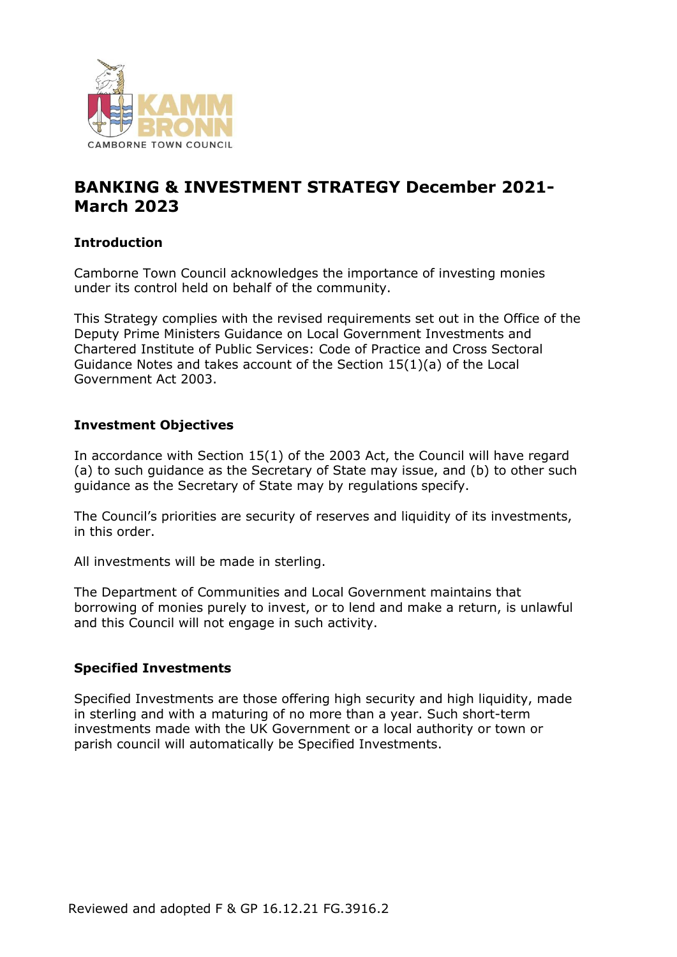

# **BANKING & INVESTMENT STRATEGY December 2021- March 2023**

#### **Introduction**

Camborne Town Council acknowledges the importance of investing monies under its control held on behalf of the community.

This Strategy complies with the revised requirements set out in the Office of the Deputy Prime Ministers Guidance on Local Government Investments and Chartered Institute of Public Services: Code of Practice and Cross Sectoral Guidance Notes and takes account of the Section 15(1)(a) of the Local Government Act 2003.

#### **Investment Objectives**

In accordance with Section 15(1) of the 2003 Act, the Council will have regard (a) to such guidance as the Secretary of State may issue, and (b) to other such guidance as the Secretary of State may by regulations specify.

The Council's priorities are security of reserves and liquidity of its investments, in this order.

All investments will be made in sterling.

The Department of Communities and Local Government maintains that borrowing of monies purely to invest, or to lend and make a return, is unlawful and this Council will not engage in such activity.

#### **Specified Investments**

Specified Investments are those offering high security and high liquidity, made in sterling and with a maturing of no more than a year. Such short-term investments made with the UK Government or a local authority or town or parish council will automatically be Specified Investments.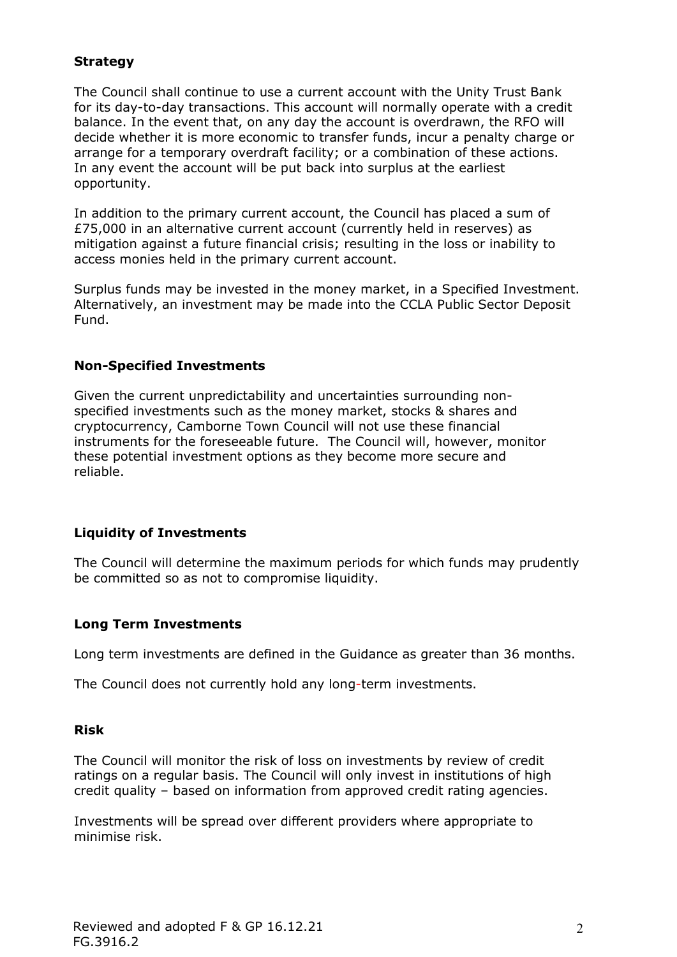## **Strategy**

The Council shall continue to use a current account with the Unity Trust Bank for its day-to-day transactions. This account will normally operate with a credit balance. In the event that, on any day the account is overdrawn, the RFO will decide whether it is more economic to transfer funds, incur a penalty charge or arrange for a temporary overdraft facility; or a combination of these actions. In any event the account will be put back into surplus at the earliest opportunity.

In addition to the primary current account, the Council has placed a sum of £75,000 in an alternative current account (currently held in reserves) as mitigation against a future financial crisis; resulting in the loss or inability to access monies held in the primary current account.

Surplus funds may be invested in the money market, in a Specified Investment. Alternatively, an investment may be made into the CCLA Public Sector Deposit Fund.

#### **Non-Specified Investments**

Given the current unpredictability and uncertainties surrounding nonspecified investments such as the money market, stocks & shares and cryptocurrency, Camborne Town Council will not use these financial instruments for the foreseeable future. The Council will, however, monitor these potential investment options as they become more secure and reliable.

#### **Liquidity of Investments**

The Council will determine the maximum periods for which funds may prudently be committed so as not to compromise liquidity.

#### **Long Term Investments**

Long term investments are defined in the Guidance as greater than 36 months.

The Council does not currently hold any long-term investments.

#### **Risk**

The Council will monitor the risk of loss on investments by review of credit ratings on a regular basis. The Council will only invest in institutions of high credit quality – based on information from approved credit rating agencies.

Investments will be spread over different providers where appropriate to minimise risk.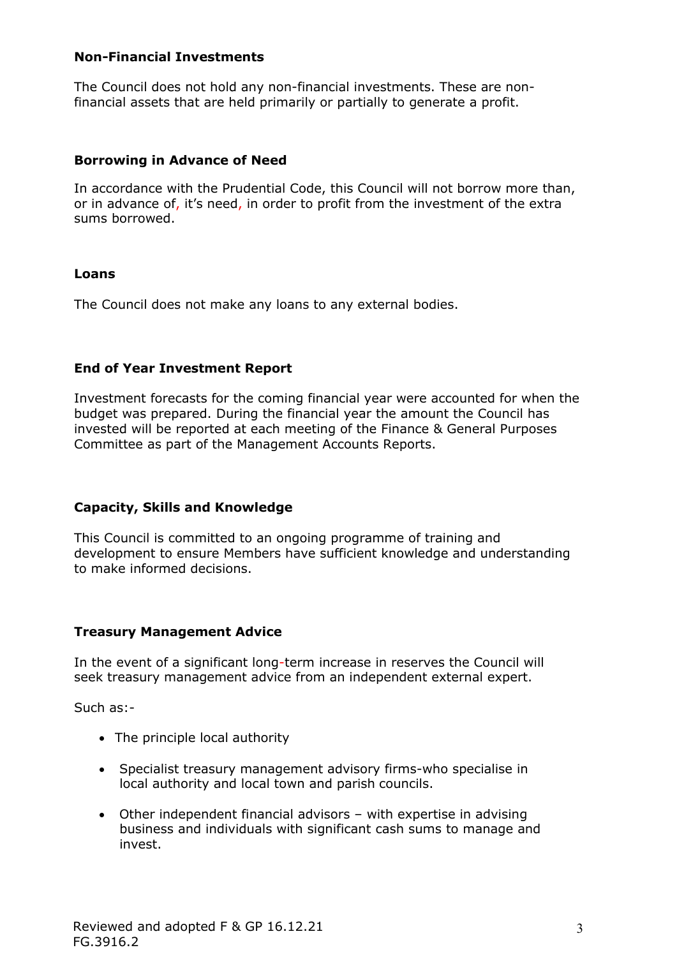#### **Non-Financial Investments**

The Council does not hold any non-financial investments. These are nonfinancial assets that are held primarily or partially to generate a profit.

## **Borrowing in Advance of Need**

In accordance with the Prudential Code, this Council will not borrow more than, or in advance of, it's need, in order to profit from the investment of the extra sums borrowed.

## **Loans**

The Council does not make any loans to any external bodies.

## **End of Year Investment Report**

Investment forecasts for the coming financial year were accounted for when the budget was prepared. During the financial year the amount the Council has invested will be reported at each meeting of the Finance & General Purposes Committee as part of the Management Accounts Reports.

# **Capacity, Skills and Knowledge**

This Council is committed to an ongoing programme of training and development to ensure Members have sufficient knowledge and understanding to make informed decisions.

#### **Treasury Management Advice**

In the event of a significant long-term increase in reserves the Council will seek treasury management advice from an independent external expert.

Such as:-

- The principle local authority
- Specialist treasury management advisory firms-who specialise in local authority and local town and parish councils.
- Other independent financial advisors with expertise in advising business and individuals with significant cash sums to manage and invest.